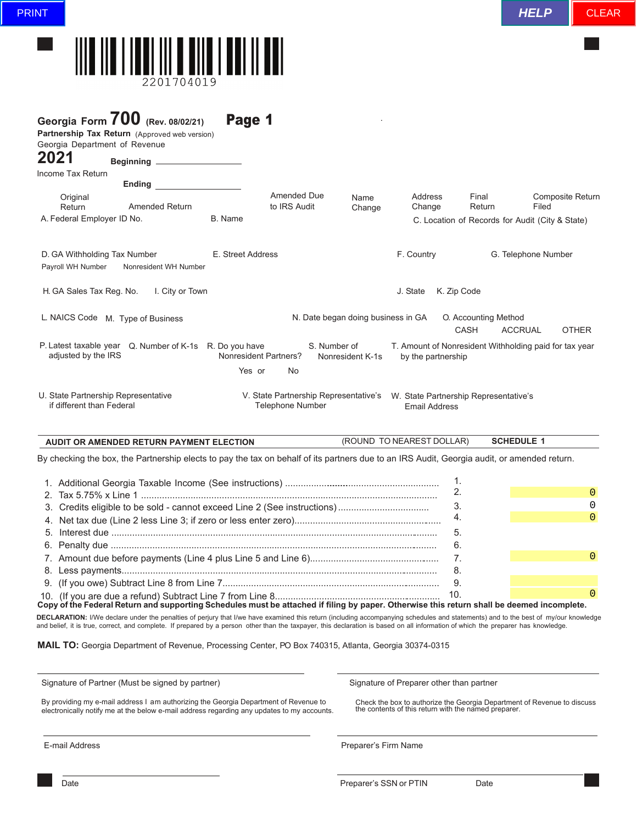

| Georgia Form $700$ (Rev. 08/02/21)                                                                                                                                                                                                                        |                   |                                                                  |                                    |                                                               |                                     |                                                        |
|-----------------------------------------------------------------------------------------------------------------------------------------------------------------------------------------------------------------------------------------------------------|-------------------|------------------------------------------------------------------|------------------------------------|---------------------------------------------------------------|-------------------------------------|--------------------------------------------------------|
| Partnership Tax Return (Approved web version)                                                                                                                                                                                                             | Page 1            |                                                                  |                                    |                                                               |                                     |                                                        |
| Georgia Department of Revenue                                                                                                                                                                                                                             |                   |                                                                  |                                    |                                                               |                                     |                                                        |
| 2021                                                                                                                                                                                                                                                      |                   |                                                                  |                                    |                                                               |                                     |                                                        |
| Income Tax Return<br><b>Ending the contract of the contract of the contract of the contract of the contract of the contract of the contract of the contract of the contract of the contract of the contract of the contract of the contract of the co</b> |                   |                                                                  |                                    |                                                               |                                     |                                                        |
| Original<br><b>Amended Return</b><br>Return<br>A. Federal Employer ID No.                                                                                                                                                                                 | B. Name           | Amended Due<br>to IRS Audit                                      | Name<br>Change                     | <b>Address</b><br>Change                                      | Final<br>Return                     | <b>Composite Return</b><br>Filed                       |
|                                                                                                                                                                                                                                                           |                   |                                                                  |                                    |                                                               |                                     | C. Location of Records for Audit (City & State)        |
| D. GA Withholding Tax Number<br>Payroll WH Number<br>Nonresident WH Number                                                                                                                                                                                | E. Street Address |                                                                  |                                    | F. Country                                                    |                                     | G. Telephone Number                                    |
| H. GA Sales Tax Reg. No.<br>I. City or Town                                                                                                                                                                                                               |                   |                                                                  |                                    | J. State                                                      | K. Zip Code                         |                                                        |
| L. NAICS Code M. Type of Business                                                                                                                                                                                                                         |                   |                                                                  | N. Date began doing business in GA |                                                               | O. Accounting Method<br><b>CASH</b> | <b>ACCRUAL</b><br><b>OTHER</b>                         |
| P. Latest taxable year Q. Number of K-1s R. Do you have<br>adjusted by the IRS                                                                                                                                                                            |                   | S. Number of<br>Nonresident Partners?                            | Nonresident K-1s                   | by the partnership                                            |                                     | T. Amount of Nonresident Withholding paid for tax year |
|                                                                                                                                                                                                                                                           | Yes or            | No                                                               |                                    |                                                               |                                     |                                                        |
| U. State Partnership Representative<br>if different than Federal                                                                                                                                                                                          |                   | V. State Partnership Representative's<br><b>Telephone Number</b> |                                    | W. State Partnership Representative's<br><b>Email Address</b> |                                     |                                                        |
| <b>AUDIT OR AMENDED RETURN PAYMENT ELECTION</b>                                                                                                                                                                                                           |                   |                                                                  |                                    | (ROUND TO NEAREST DOLLAR)                                     |                                     | <b>SCHEDULE 1</b>                                      |
| By checking the box, the Partnership elects to pay the tax on behalf of its partners due to an IRS Audit, Georgia audit, or amended return.                                                                                                               |                   |                                                                  |                                    |                                                               |                                     |                                                        |
|                                                                                                                                                                                                                                                           |                   |                                                                  |                                    |                                                               | 1.                                  |                                                        |
|                                                                                                                                                                                                                                                           |                   |                                                                  |                                    |                                                               | 2.                                  | $\overline{0}$                                         |
|                                                                                                                                                                                                                                                           |                   |                                                                  |                                    |                                                               | 3.                                  | 0                                                      |
|                                                                                                                                                                                                                                                           |                   |                                                                  |                                    |                                                               | 4.                                  | $\Omega$                                               |
|                                                                                                                                                                                                                                                           |                   |                                                                  |                                    |                                                               | 5.                                  |                                                        |
|                                                                                                                                                                                                                                                           |                   |                                                                  |                                    |                                                               | 6.                                  | $\overline{0}$                                         |
|                                                                                                                                                                                                                                                           |                   |                                                                  |                                    |                                                               | 7.                                  |                                                        |
|                                                                                                                                                                                                                                                           |                   |                                                                  |                                    |                                                               | 8.                                  |                                                        |

10. (If you are due a refund) Subtract Line 7 from Line 8.................... **Copy of the Federal Return and supporting Schedules must be attached if filing by paper. Otherwise this return shall be deemed incomplete. DECLARATION:** I/We declare under the penalties of perjury that I/we have examined this return (including accompanying schedules and statements) and to the best of my/our knowledge and belief, it is true, correct, and complete. If prepared by a person other than the taxpayer, this declaration is based on all information of which the preparer has knowledge.

**MAIL TO:** Georgia Department of Revenue, Processing Center, PO Box 740315, Atlanta, Georgia 30374-0315

Signature of Partner (Must be signed by partner)

Signature of Preparer other than partner

By providing my e-mail address I am authorizing the Georgia Department of Revenue to electronically notify me at the below e-mail address regarding any updates to my accounts.

9. (If you owe) Subtract Line 8 from Line 7....................................................................................

Check the box to authorize the Georgia Department of Revenue to discuss the contents of this return with the named preparer.

9.

0

10.

E-mail Address Preparer's Firm Name

Date **Date Contract Contract Contract Contract Contract Contract Contract Preparer's SSN or PTIN** Date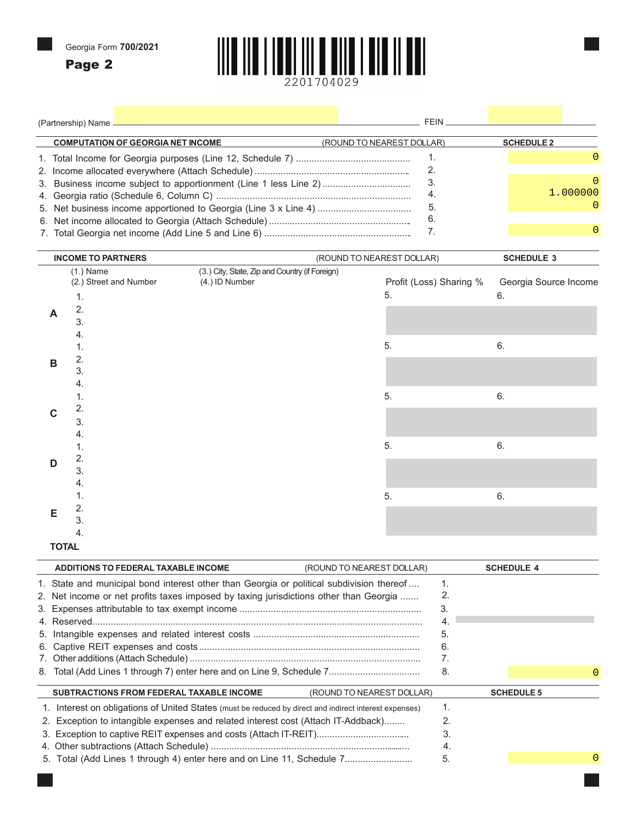Page 2

**<sup>E</sup>** 2.



|  |   | (Partnership) Name $\overline{\phantom{a}}$ | the control of the control of the control of the control of the control of the control of the control of the control of the control of the control of the control of the control of the control of the control of the control | FEIN.                     |    |                       |  |
|--|---|---------------------------------------------|-------------------------------------------------------------------------------------------------------------------------------------------------------------------------------------------------------------------------------|---------------------------|----|-----------------------|--|
|  |   | <b>COMPUTATION OF GEORGIA NET INCOME</b>    |                                                                                                                                                                                                                               | (ROUND TO NEAREST DOLLAR) |    | <b>SCHEDULE 2</b>     |  |
|  |   |                                             |                                                                                                                                                                                                                               | 1.                        |    | 0                     |  |
|  |   |                                             |                                                                                                                                                                                                                               | 2.                        |    |                       |  |
|  |   |                                             | 3. Business income subject to apportionment (Line 1 less Line 2)                                                                                                                                                              | 3.                        |    | O                     |  |
|  |   |                                             |                                                                                                                                                                                                                               | 4.                        |    | 1.000000              |  |
|  |   |                                             |                                                                                                                                                                                                                               | 5.                        |    | 0                     |  |
|  |   |                                             |                                                                                                                                                                                                                               | 6.                        |    |                       |  |
|  |   |                                             | 7 <sub>1</sub>                                                                                                                                                                                                                |                           | 0  |                       |  |
|  |   |                                             |                                                                                                                                                                                                                               |                           |    |                       |  |
|  |   | <b>INCOME TO PARTNERS</b>                   |                                                                                                                                                                                                                               | (ROUND TO NEAREST DOLLAR) |    | <b>SCHEDULE 3</b>     |  |
|  |   | $(1.)$ Name                                 | (3.) City, State, Zip and Country (if Foreign)                                                                                                                                                                                |                           |    |                       |  |
|  |   | (2.) Street and Number                      | (4.) ID Number                                                                                                                                                                                                                | Profit (Loss) Sharing %   |    | Georgia Source Income |  |
|  |   | 1.                                          |                                                                                                                                                                                                                               | 5.                        | 6. |                       |  |
|  |   | 2.                                          |                                                                                                                                                                                                                               |                           |    |                       |  |
|  |   | 3.                                          |                                                                                                                                                                                                                               |                           |    |                       |  |
|  |   |                                             |                                                                                                                                                                                                                               |                           |    |                       |  |
|  |   | 1.                                          |                                                                                                                                                                                                                               | 5.                        | 6. |                       |  |
|  | в | 2.                                          |                                                                                                                                                                                                                               |                           |    |                       |  |
|  |   | 3.                                          |                                                                                                                                                                                                                               |                           |    |                       |  |
|  |   |                                             |                                                                                                                                                                                                                               |                           |    |                       |  |
|  |   | 1.                                          |                                                                                                                                                                                                                               | 5.                        | 6. |                       |  |
|  |   | 2.                                          |                                                                                                                                                                                                                               |                           |    |                       |  |
|  |   | 3.                                          |                                                                                                                                                                                                                               |                           |    |                       |  |
|  |   |                                             |                                                                                                                                                                                                                               |                           |    |                       |  |
|  |   |                                             |                                                                                                                                                                                                                               | 5.                        | 6. |                       |  |
|  | D | 2.                                          |                                                                                                                                                                                                                               |                           |    |                       |  |

| D            |    |   |    |
|--------------|----|---|----|
|              | J. |   |    |
|              | 4. |   |    |
|              |    | 5 | ю. |
| E            |    |   |    |
|              |    |   |    |
|              | 4. |   |    |
| <b>TOTAL</b> |    |   |    |

| ADDITIONS TO FEDERAL TAXABLE INCOME                                                                    | (ROUND TO NEAREST DOLLAR) |          | <b>SCHEDULE 4</b> |   |
|--------------------------------------------------------------------------------------------------------|---------------------------|----------|-------------------|---|
| 1. State and municipal bond interest other than Georgia or political subdivision thereof               |                           | 1.<br>2. |                   |   |
| 2. Net income or net profits taxes imposed by taxing jurisdictions other than Georgia                  |                           | 3.       |                   |   |
|                                                                                                        |                           | 4.       |                   |   |
|                                                                                                        |                           | 5.       |                   |   |
|                                                                                                        |                           | 6.       |                   |   |
|                                                                                                        |                           | 7.       |                   |   |
| 8. Total (Add Lines 1 through 7) enter here and on Line 9, Schedule 7                                  |                           | 8.       |                   | O |
| <b>SUBTRACTIONS FROM FEDERAL TAXABLE INCOME</b>                                                        | (ROUND TO NEAREST DOLLAR) |          | <b>SCHEDULE 5</b> |   |
| 1. Interest on obligations of United States (must be reduced by direct and indirect interest expenses) |                           | 1.       |                   |   |
| 2. Exception to intangible expenses and related interest cost (Attach IT-Addback)                      |                           | 2.       |                   |   |
|                                                                                                        |                           | 3.       |                   |   |
|                                                                                                        |                           | 4.       |                   |   |
| 5. Total (Add Lines 1 through 4) enter here and on Line 11, Schedule 7                                 |                           | 5.       |                   |   |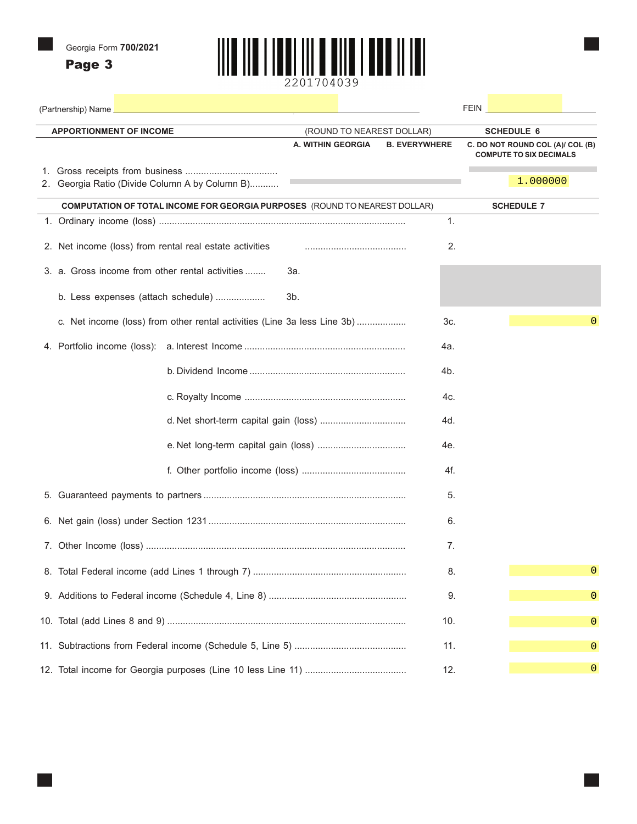Page 3



| (Partnership) Name<br>the control of the control of the control of the control of the control of the control of |                           |                      | <b>FEIN Example 200</b>                                            |
|-----------------------------------------------------------------------------------------------------------------|---------------------------|----------------------|--------------------------------------------------------------------|
| <b>APPORTIONMENT OF INCOME</b>                                                                                  | (ROUND TO NEAREST DOLLAR) |                      | <b>SCHEDULE 6</b>                                                  |
|                                                                                                                 | A. WITHIN GEORGIA         | <b>B. EVERYWHERE</b> | C. DO NOT ROUND COL (A)/ COL (B)<br><b>COMPUTE TO SIX DECIMALS</b> |
|                                                                                                                 |                           |                      |                                                                    |
| 2. Georgia Ratio (Divide Column A by Column B)                                                                  |                           |                      | 1.000000                                                           |
| <b>COMPUTATION OF TOTAL INCOME FOR GEORGIA PURPOSES</b> (ROUND TO NEAREST DOLLAR)                               |                           |                      | <b>SCHEDULE 7</b>                                                  |
|                                                                                                                 |                           | 1.                   |                                                                    |
| 2. Net income (loss) from rental real estate activities                                                         |                           | 2.                   |                                                                    |
| 3. a. Gross income from other rental activities                                                                 | 3а.                       |                      |                                                                    |
| b. Less expenses (attach schedule)                                                                              | 3b.                       |                      |                                                                    |
| c. Net income (loss) from other rental activities (Line 3a less Line 3b)                                        |                           | 3c.                  | 0                                                                  |
|                                                                                                                 |                           | 4a.                  |                                                                    |
|                                                                                                                 |                           | 4b.                  |                                                                    |
|                                                                                                                 |                           | 4c.                  |                                                                    |
|                                                                                                                 |                           | 4d.                  |                                                                    |
|                                                                                                                 |                           | 4e.                  |                                                                    |
|                                                                                                                 |                           | 4f.                  |                                                                    |
|                                                                                                                 |                           | 5.                   |                                                                    |
|                                                                                                                 |                           | 6.                   |                                                                    |
|                                                                                                                 |                           | 7.                   |                                                                    |
|                                                                                                                 |                           | 8.                   |                                                                    |
|                                                                                                                 |                           | 9.                   | 0                                                                  |
|                                                                                                                 |                           | 10.                  | 0                                                                  |
|                                                                                                                 |                           | 11.                  | 0                                                                  |
|                                                                                                                 |                           | 12.                  | 0                                                                  |
|                                                                                                                 |                           |                      |                                                                    |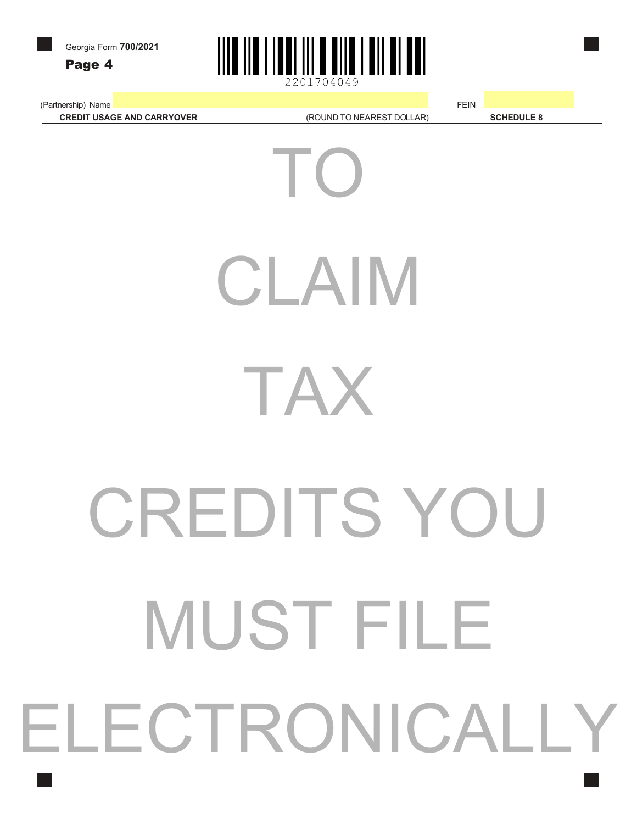Page 4



(Partnership) Name **FEIN** 

**CREDIT USAGE AND CARRYOVER** (ROUND TO NEAREST DOLLAR) **SCHEDULE 8** 

(ROUND TO NEAREST DOLLAR)

TO CLAIM TAX CREDITS YOU MUST FILE ELECTRONICALI Y